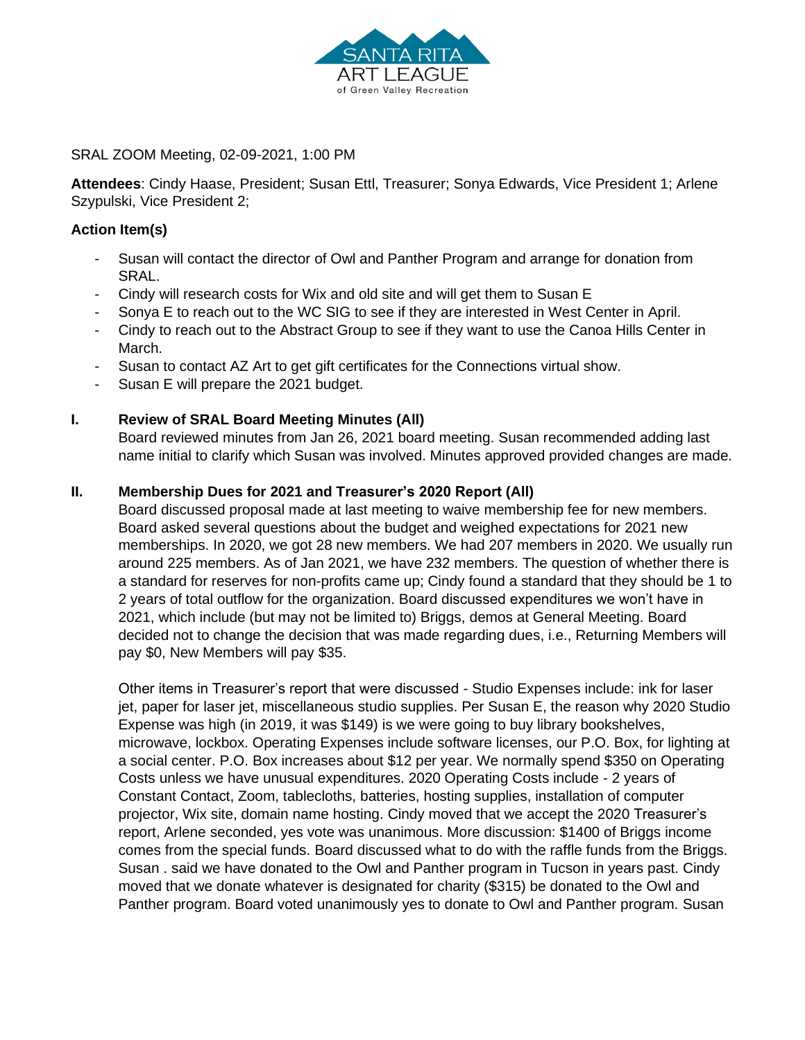

SRAL ZOOM Meeting, 02-09-2021, 1:00 PM

**Attendees**: Cindy Haase, President; Susan Ettl, Treasurer; Sonya Edwards, Vice President 1; Arlene Szypulski, Vice President 2;

# **Action Item(s)**

- Susan will contact the director of Owl and Panther Program and arrange for donation from SRAL.
- Cindy will research costs for Wix and old site and will get them to Susan E
- Sonya E to reach out to the WC SIG to see if they are interested in West Center in April.
- Cindy to reach out to the Abstract Group to see if they want to use the Canoa Hills Center in March.
- Susan to contact AZ Art to get gift certificates for the Connections virtual show.
- Susan E will prepare the 2021 budget.

## **I. Review of SRAL Board Meeting Minutes (All)**

Board reviewed minutes from Jan 26, 2021 board meeting. Susan recommended adding last name initial to clarify which Susan was involved. Minutes approved provided changes are made.

## **II. Membership Dues for 2021 and Treasurer's 2020 Report (All)**

Board discussed proposal made at last meeting to waive membership fee for new members. Board asked several questions about the budget and weighed expectations for 2021 new memberships. In 2020, we got 28 new members. We had 207 members in 2020. We usually run around 225 members. As of Jan 2021, we have 232 members. The question of whether there is a standard for reserves for non-profits came up; Cindy found a standard that they should be 1 to 2 years of total outflow for the organization. Board discussed expenditures we won't have in 2021, which include (but may not be limited to) Briggs, demos at General Meeting. Board decided not to change the decision that was made regarding dues, i.e., Returning Members will pay \$0, New Members will pay \$35.

Other items in Treasurer's report that were discussed - Studio Expenses include: ink for laser jet, paper for laser jet, miscellaneous studio supplies. Per Susan E, the reason why 2020 Studio Expense was high (in 2019, it was \$149) is we were going to buy library bookshelves, microwave, lockbox. Operating Expenses include software licenses, our P.O. Box, for lighting at a social center. P.O. Box increases about \$12 per year. We normally spend \$350 on Operating Costs unless we have unusual expenditures. 2020 Operating Costs include - 2 years of Constant Contact, Zoom, tablecloths, batteries, hosting supplies, installation of computer projector, Wix site, domain name hosting. Cindy moved that we accept the 2020 Treasurer's report, Arlene seconded, yes vote was unanimous. More discussion: \$1400 of Briggs income comes from the special funds. Board discussed what to do with the raffle funds from the Briggs. Susan . said we have donated to the Owl and Panther program in Tucson in years past. Cindy moved that we donate whatever is designated for charity (\$315) be donated to the Owl and Panther program. Board voted unanimously yes to donate to Owl and Panther program. Susan